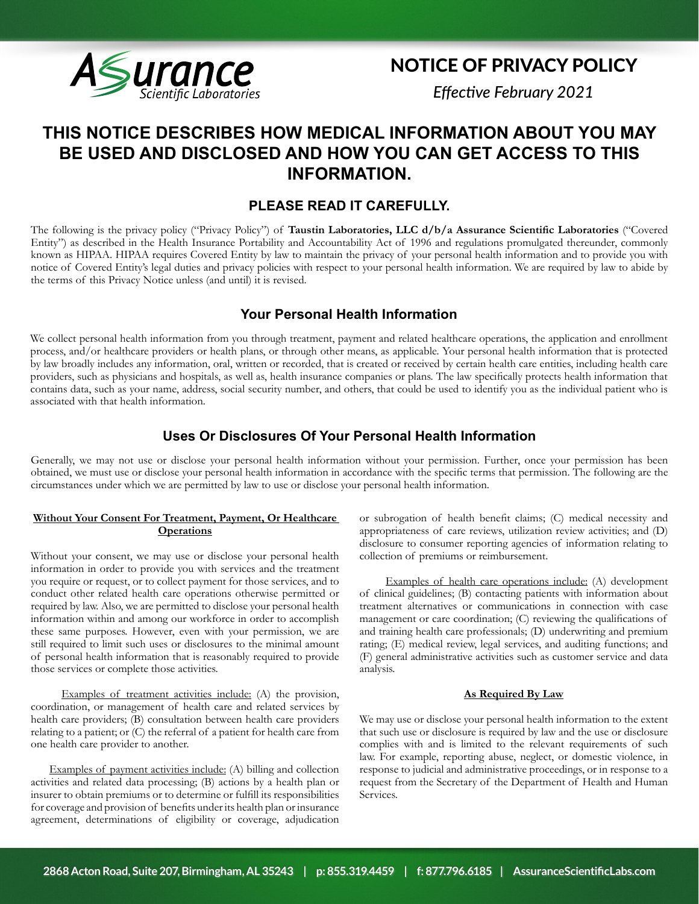

# NOTICE OF PRIVACY POLICY

*Effective February 2021*

# **THIS NOTICE DESCRIBES HOW MEDICAL INFORMATION ABOUT YOU MAY BE USED AND DISCLOSED AND HOW YOU CAN GET ACCESS TO THIS INFORMATION.**

# **PLEASE READ IT CAREFULLY.**

The following is the privacy policy ("Privacy Policy") of **Taustin Laboratories, LLC d/b/a Assurance Scientific Laboratories** ("Covered Entity") as described in the Health Insurance Portability and Accountability Act of 1996 and regulations promulgated thereunder, commonly known as HIPAA. HIPAA requires Covered Entity by law to maintain the privacy of your personal health information and to provide you with notice of Covered Entity's legal duties and privacy policies with respect to your personal health information. We are required by law to abide by the terms of this Privacy Notice unless (and until) it is revised.

# **Your Personal Health Information**

We collect personal health information from you through treatment, payment and related healthcare operations, the application and enrollment process, and/or healthcare providers or health plans, or through other means, as applicable. Your personal health information that is protected by law broadly includes any information, oral, written or recorded, that is created or received by certain health care entities, including health care providers, such as physicians and hospitals, as well as, health insurance companies or plans. The law specifically protects health information that contains data, such as your name, address, social security number, and others, that could be used to identify you as the individual patient who is associated with that health information.

# **Uses Or Disclosures Of Your Personal Health Information**

Generally, we may not use or disclose your personal health information without your permission. Further, once your permission has been obtained, we must use or disclose your personal health information in accordance with the specific terms that permission. The following are the circumstances under which we are permitted by law to use or disclose your personal health information.

## **Without Your Consent For Treatment, Payment, Or Healthcare Operations**

Without your consent, we may use or disclose your personal health information in order to provide you with services and the treatment you require or request, or to collect payment for those services, and to conduct other related health care operations otherwise permitted or required by law. Also, we are permitted to disclose your personal health information within and among our workforce in order to accomplish these same purposes. However, even with your permission, we are still required to limit such uses or disclosures to the minimal amount of personal health information that is reasonably required to provide those services or complete those activities.

 Examples of treatment activities include: (A) the provision, coordination, or management of health care and related services by health care providers; (B) consultation between health care providers relating to a patient; or (C) the referral of a patient for health care from one health care provider to another.

 Examples of payment activities include: (A) billing and collection activities and related data processing; (B) actions by a health plan or insurer to obtain premiums or to determine or fulfill its responsibilities for coverage and provision of benefits under its health plan or insurance agreement, determinations of eligibility or coverage, adjudication

or subrogation of health benefit claims; (C) medical necessity and appropriateness of care reviews, utilization review activities; and (D) disclosure to consumer reporting agencies of information relating to collection of premiums or reimbursement.

 Examples of health care operations include: (A) development of clinical guidelines; (B) contacting patients with information about treatment alternatives or communications in connection with case management or care coordination; (C) reviewing the qualifications of and training health care professionals; (D) underwriting and premium rating; (E) medical review, legal services, and auditing functions; and (F) general administrative activities such as customer service and data analysis.

## **As Required By Law**

We may use or disclose your personal health information to the extent that such use or disclosure is required by law and the use or disclosure complies with and is limited to the relevant requirements of such law. For example, reporting abuse, neglect, or domestic violence, in response to judicial and administrative proceedings, or in response to a request from the Secretary of the Department of Health and Human Services.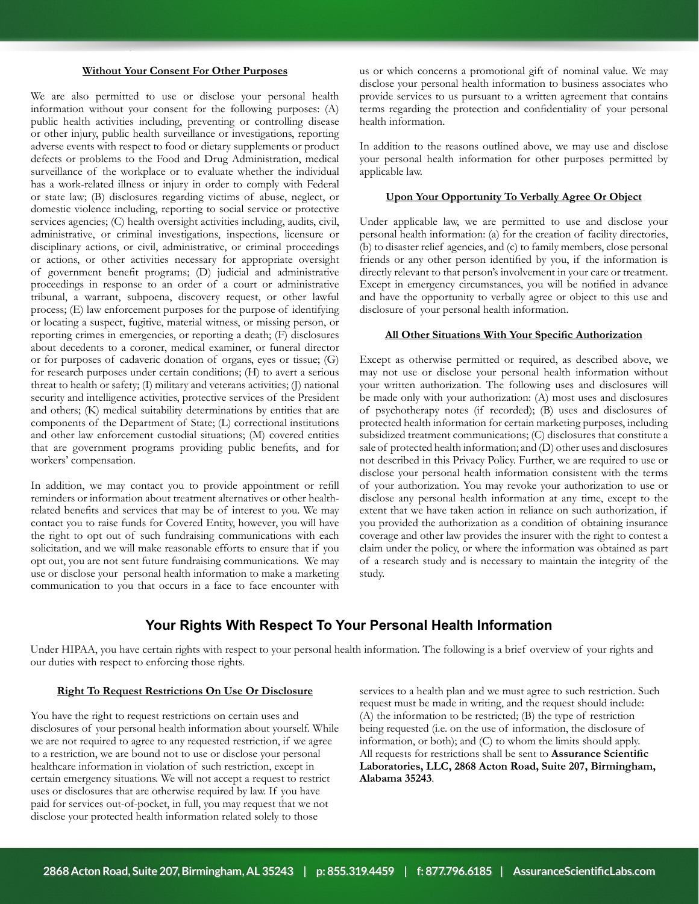## **Without Your Consent For Other Purposes**

We are also permitted to use or disclose your personal health information without your consent for the following purposes: (A) public health activities including, preventing or controlling disease or other injury, public health surveillance or investigations, reporting adverse events with respect to food or dietary supplements or product defects or problems to the Food and Drug Administration, medical surveillance of the workplace or to evaluate whether the individual has a work-related illness or injury in order to comply with Federal or state law; (B) disclosures regarding victims of abuse, neglect, or domestic violence including, reporting to social service or protective services agencies; (C) health oversight activities including, audits, civil, administrative, or criminal investigations, inspections, licensure or disciplinary actions, or civil, administrative, or criminal proceedings or actions, or other activities necessary for appropriate oversight of government benefit programs; (D) judicial and administrative proceedings in response to an order of a court or administrative tribunal, a warrant, subpoena, discovery request, or other lawful process; (E) law enforcement purposes for the purpose of identifying or locating a suspect, fugitive, material witness, or missing person, or reporting crimes in emergencies, or reporting a death; (F) disclosures about decedents to a coroner, medical examiner, or funeral director or for purposes of cadaveric donation of organs, eyes or tissue; (G) for research purposes under certain conditions; (H) to avert a serious threat to health or safety; (I) military and veterans activities; (J) national security and intelligence activities, protective services of the President and others; (K) medical suitability determinations by entities that are components of the Department of State; (L) correctional institutions and other law enforcement custodial situations; (M) covered entities that are government programs providing public benefits, and for workers' compensation.

In addition, we may contact you to provide appointment or refill reminders or information about treatment alternatives or other healthrelated benefits and services that may be of interest to you. We may contact you to raise funds for Covered Entity, however, you will have the right to opt out of such fundraising communications with each solicitation, and we will make reasonable efforts to ensure that if you opt out, you are not sent future fundraising communications. We may use or disclose your personal health information to make a marketing communication to you that occurs in a face to face encounter with

us or which concerns a promotional gift of nominal value. We may disclose your personal health information to business associates who provide services to us pursuant to a written agreement that contains terms regarding the protection and confidentiality of your personal health information.

In addition to the reasons outlined above, we may use and disclose your personal health information for other purposes permitted by applicable law.

### **Upon Your Opportunity To Verbally Agree Or Object**

Under applicable law, we are permitted to use and disclose your personal health information: (a) for the creation of facility directories, (b) to disaster relief agencies, and (c) to family members, close personal friends or any other person identified by you, if the information is directly relevant to that person's involvement in your care or treatment. Except in emergency circumstances, you will be notified in advance and have the opportunity to verbally agree or object to this use and disclosure of your personal health information.

### **All Other Situations With Your Specific Authorization**

Except as otherwise permitted or required, as described above, we may not use or disclose your personal health information without your written authorization. The following uses and disclosures will be made only with your authorization: (A) most uses and disclosures of psychotherapy notes (if recorded); (B) uses and disclosures of protected health information for certain marketing purposes, including subsidized treatment communications; (C) disclosures that constitute a sale of protected health information; and (D) other uses and disclosures not described in this Privacy Policy. Further, we are required to use or disclose your personal health information consistent with the terms of your authorization. You may revoke your authorization to use or disclose any personal health information at any time, except to the extent that we have taken action in reliance on such authorization, if you provided the authorization as a condition of obtaining insurance coverage and other law provides the insurer with the right to contest a claim under the policy, or where the information was obtained as part of a research study and is necessary to maintain the integrity of the study.

## **Your Rights With Respect To Your Personal Health Information**

Under HIPAA, you have certain rights with respect to your personal health information. The following is a brief overview of your rights and our duties with respect to enforcing those rights.

**Right To Request Restrictions On Use Or Disclosure**<br>
are the right to request restrictions on certain uses and<br>
(A) the information to be restricted; (B) the type of restriction.<br>
Sure the right to request houst informati You have the right to request restrictions on certain uses and disclosures of your personal health information about yourself. While we are not required to agree to any requested restriction, if we agree to a restriction, we are bound not to use or disclose your personal healthcare information in violation of such restriction, except in certain emergency situations. We will not accept a request to restrict uses or disclosures that are otherwise required by law. If you have paid for services out-of-pocket, in full, you may request that we not disclose your protected health information related solely to those

services to a health plan and we must agree to such restriction. Such request must be made in writing, and the request should include: (A) the information to be restricted; (B) the type of restriction being requested (i.e. on the use of information, the disclosure of information, or both); and (C) to whom the limits should apply. All requests for restrictions shall be sent to **Assurance Scientific Laboratories, LLC, 2868 Acton Road, Suite 207, Birmingham, Alabama 35243**.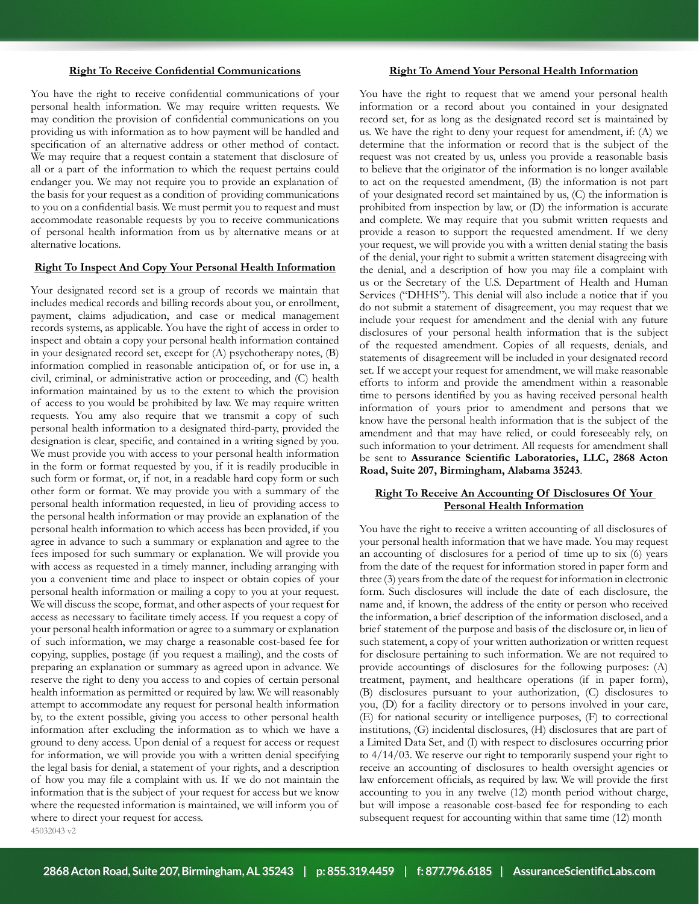#### **Right To Receive Confidential Communications**

You have the right to receive confidential communications of your personal health information. We may require written requests. We may condition the provision of confidential communications on you providing us with information as to how payment will be handled and specification of an alternative address or other method of contact. We may require that a request contain a statement that disclosure of all or a part of the information to which the request pertains could endanger you. We may not require you to provide an explanation of the basis for your request as a condition of providing communications to you on a confidential basis. We must permit you to request and must accommodate reasonable requests by you to receive communications of personal health information from us by alternative means or at alternative locations.

#### **Right To Inspect And Copy Your Personal Health Information**

Your designated record set is a group of records we maintain that includes medical records and billing records about you, or enrollment, payment, claims adjudication, and case or medical management records systems, as applicable. You have the right of access in order to inspect and obtain a copy your personal health information contained in your designated record set, except for (A) psychotherapy notes, (B) information complied in reasonable anticipation of, or for use in, a civil, criminal, or administrative action or proceeding, and (C) health information maintained by us to the extent to which the provision of access to you would be prohibited by law. We may require written requests. You amy also require that we transmit a copy of such personal health information to a designated third-party, provided the designation is clear, specific, and contained in a writing signed by you. We must provide you with access to your personal health information in the form or format requested by you, if it is readily producible in such form or format, or, if not, in a readable hard copy form or such other form or format. We may provide you with a summary of the personal health information requested, in lieu of providing access to the personal health information or may provide an explanation of the personal health information to which access has been provided, if you agree in advance to such a summary or explanation and agree to the fees imposed for such summary or explanation. We will provide you with access as requested in a timely manner, including arranging with you a convenient time and place to inspect or obtain copies of your personal health information or mailing a copy to you at your request. We will discuss the scope, format, and other aspects of your request for access as necessary to facilitate timely access. If you request a copy of your personal health information or agree to a summary or explanation of such information, we may charge a reasonable cost-based fee for copying, supplies, postage (if you request a mailing), and the costs of preparing an explanation or summary as agreed upon in advance. We reserve the right to deny you access to and copies of certain personal health information as permitted or required by law. We will reasonably attempt to accommodate any request for personal health information by, to the extent possible, giving you access to other personal health information after excluding the information as to which we have a ground to deny access. Upon denial of a request for access or request for information, we will provide you with a written denial specifying the legal basis for denial, a statement of your rights, and a description of how you may file a complaint with us. If we do not maintain the information that is the subject of your request for access but we know where the requested information is maintained, we will inform you of where to direct your request for access. 45032043 v2

## **Right To Amend Your Personal Health Information**

You have the right to request that we amend your personal health information or a record about you contained in your designated record set, for as long as the designated record set is maintained by us. We have the right to deny your request for amendment, if: (A) we determine that the information or record that is the subject of the request was not created by us, unless you provide a reasonable basis to believe that the originator of the information is no longer available to act on the requested amendment, (B) the information is not part of your designated record set maintained by us, (C) the information is prohibited from inspection by law, or (D) the information is accurate and complete. We may require that you submit written requests and provide a reason to support the requested amendment. If we deny your request, we will provide you with a written denial stating the basis of the denial, your right to submit a written statement disagreeing with the denial, and a description of how you may file a complaint with us or the Secretary of the U.S. Department of Health and Human Services ("DHHS"). This denial will also include a notice that if you do not submit a statement of disagreement, you may request that we include your request for amendment and the denial with any future disclosures of your personal health information that is the subject of the requested amendment. Copies of all requests, denials, and statements of disagreement will be included in your designated record set. If we accept your request for amendment, we will make reasonable efforts to inform and provide the amendment within a reasonable time to persons identified by you as having received personal health information of yours prior to amendment and persons that we know have the personal health information that is the subject of the amendment and that may have relied, or could foreseeably rely, on such information to your detriment. All requests for amendment shall be sent to **Assurance Scientific Laboratories, LLC, 2868 Acton Road, Suite 207, Birmingham, Alabama 35243**.

## **Right To Receive An Accounting Of Disclosures Of Your Personal Health Information**

You have the right to receive a written accounting of all disclosures of your personal health information that we have made. You may request an accounting of disclosures for a period of time up to six (6) years from the date of the request for information stored in paper form and three (3) years from the date of the request for information in electronic form. Such disclosures will include the date of each disclosure, the name and, if known, the address of the entity or person who received the information, a brief description of the information disclosed, and a brief statement of the purpose and basis of the disclosure or, in lieu of such statement, a copy of your written authorization or written request for disclosure pertaining to such information. We are not required to provide accountings of disclosures for the following purposes: (A) treatment, payment, and healthcare operations (if in paper form), (B) disclosures pursuant to your authorization, (C) disclosures to you, (D) for a facility directory or to persons involved in your care, (E) for national security or intelligence purposes, (F) to correctional institutions, (G) incidental disclosures, (H) disclosures that are part of a Limited Data Set, and (I) with respect to disclosures occurring prior to 4/14/03. We reserve our right to temporarily suspend your right to receive an accounting of disclosures to health oversight agencies or law enforcement officials, as required by law. We will provide the first accounting to you in any twelve (12) month period without charge, but will impose a reasonable cost-based fee for responding to each subsequent request for accounting within that same time (12) month